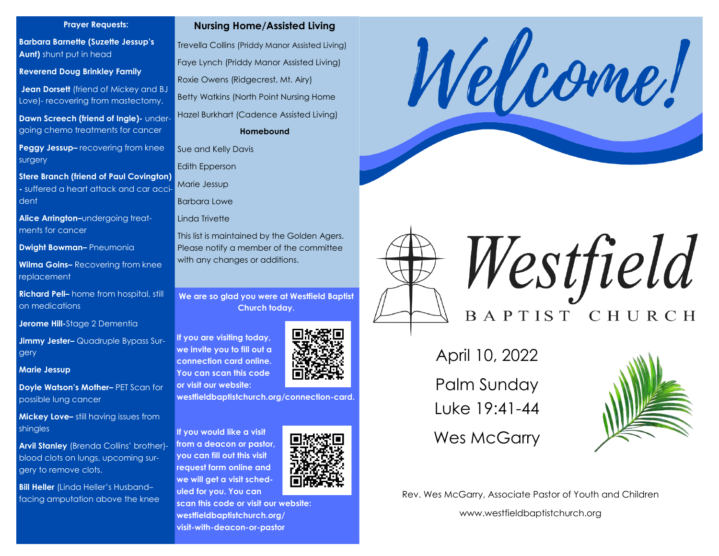#### **Prayer Requests:**

**Barbara Barnette (Suzette Jessup's Aunt)** shunt put in head

**Reverend Doug Brinkley Family**

**Jean Dorsett** (friend of Mickey and BJ Love)- recovering from mastectomy.

**Dawn Screech (friend of Ingle)- under**going chemo treatments for cancer

**Peggy Jessup–** recovering from knee surgery

**Stere Branch (friend of Paul Covington) -** suffered a heart attack and car accident

**Alice Arrington–**undergoing treatments for cancer

**Dwight Bowman–** Pneumonia

**Wilma Goins–** Recovering from knee replacement

**Richard Pell–** home from hospital, still on medications

**Jerome Hill-**Stage 2 Dementia

**Jimmy Jester–** Quadruple Bypass Surgery

**Marie Jessup**

**Doyle Watson's Mother–** PET Scan for possible lung cancer

**Mickey Love–** still having issues from shingles

**Arvil Stanley** (Brenda Collins' brother) blood clots on lungs, upcoming surgery to remove clots.

**Bill Heller** (Linda Heller's Husband– facing amputation above the knee



Trevella Collins (Priddy Manor Assisted Living) Faye Lynch (Priddy Manor Assisted Living) Roxie Owens (Ridgecrest, Mt. Airy) Betty Watkins (North Point Nursing Home Hazel Burkhart (Cadence Assisted Living) **Homebound**

Sue and Kelly Davis

Edith Epperson

Marie Jessup

Barbara Lowe

Linda Trivette

This list is maintained by the Golden Agers. Please notify a member of the committee with any changes or additions.

**We are so glad you were at Westfield Baptist Church today.** 

**If you are visiting today, we invite you to fill out a connection card online. You can scan this code or visit our website:**



**westfieldbaptistchurch.org/connection-card.** 

**If you would like a visit from a deacon or pastor, you can fill out this visit request form online and we will get a visit scheduled for you. You can** 

**scan this code or visit our website: westfieldbaptistchurch.org/ visit-with-deacon-or-pastor**





Westfield BAPTIST CHURCH

April 10, 2022

Palm Sunday Luke 19:41-44

Wes McGarry



Rev. Wes McGarry, Associate Pastor of Youth and Children

www.westfieldbaptistchurch.org